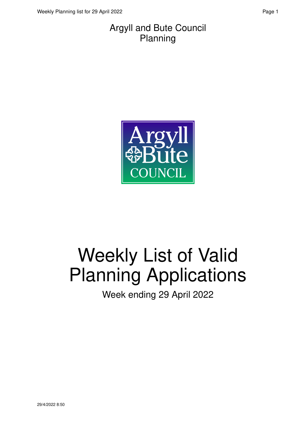#### Argyll and Bute Council Planning



# Weekly List of Valid Planning Applications

Week ending 29 April 2022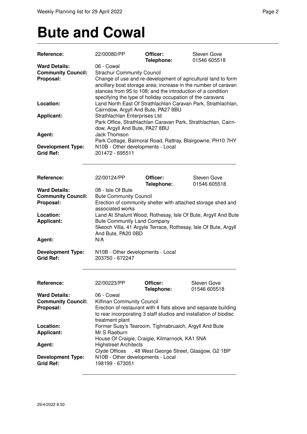### **Bute and Cowal**

| Reference:                | 22/00080/PP                                                                                                                     | Officer:                                                  | <b>Steven Gove</b>                                                |  |
|---------------------------|---------------------------------------------------------------------------------------------------------------------------------|-----------------------------------------------------------|-------------------------------------------------------------------|--|
| <b>Ward Details:</b>      | 06 - Cowal                                                                                                                      | Telephone:                                                | 01546 605518                                                      |  |
| <b>Community Council:</b> | <b>Strachur Community Council</b>                                                                                               |                                                           |                                                                   |  |
| Proposal:                 | Change of use and re-development of agricultural land to form<br>ancillary boat storage area; increase in the number of caravan |                                                           |                                                                   |  |
|                           |                                                                                                                                 |                                                           |                                                                   |  |
|                           |                                                                                                                                 |                                                           | stances from 95 to 108; and the introduction of a condition       |  |
|                           |                                                                                                                                 | specifying the type of holiday occupation of the caravans |                                                                   |  |
| Location:                 | Land North East Of Strathlachlan Caravan Park, Strathlachlan,<br>Cairndow, Argyll And Bute, PA27 8BU                            |                                                           |                                                                   |  |
|                           |                                                                                                                                 |                                                           |                                                                   |  |
| <b>Applicant:</b>         |                                                                                                                                 | Strathlachlan Enterprises Ltd                             |                                                                   |  |
|                           | Park Office, Strathlachlan Caravan Park, Strathlachlan, Cairn-                                                                  |                                                           |                                                                   |  |
|                           | dow, Argyll And Bute, PA27 8BU                                                                                                  |                                                           |                                                                   |  |
| Agent:                    | Jack Thomson                                                                                                                    |                                                           |                                                                   |  |
|                           |                                                                                                                                 |                                                           | Park Cottage, Balmoral Road, Rattray, Blairgowrie, PH10 7HY       |  |
| <b>Development Type:</b>  | N10B - Other developments - Local                                                                                               |                                                           |                                                                   |  |
| <b>Grid Ref:</b>          | 201472 - 695511                                                                                                                 |                                                           |                                                                   |  |
|                           |                                                                                                                                 |                                                           |                                                                   |  |
|                           |                                                                                                                                 |                                                           |                                                                   |  |
| Reference:                | 22/00124/PP                                                                                                                     | Officer:                                                  | <b>Steven Gove</b>                                                |  |
|                           |                                                                                                                                 | Telephone:                                                | 01546 605518                                                      |  |
| <b>Ward Details:</b>      | 08 - Isle Of Bute                                                                                                               |                                                           |                                                                   |  |
| <b>Community Council:</b> | <b>Bute Community Council</b>                                                                                                   |                                                           |                                                                   |  |
| Proposal:                 |                                                                                                                                 |                                                           | Erection of community shelter with attached storage shed and      |  |
|                           | associated works                                                                                                                |                                                           |                                                                   |  |
| Location:                 |                                                                                                                                 |                                                           | Land At Shalunt Wood, Rothesay, Isle Of Bute, Argyll And Bute     |  |
| Applicant:                | <b>Bute Community Land Company</b>                                                                                              |                                                           |                                                                   |  |
|                           |                                                                                                                                 |                                                           | Skeoch Villa, 41 Argyle Terrace, Rothesay, Isle Of Bute, Argyll   |  |
|                           | And Bute, PA20 0BD                                                                                                              |                                                           |                                                                   |  |
| Agent:                    | N/A                                                                                                                             |                                                           |                                                                   |  |
|                           |                                                                                                                                 |                                                           |                                                                   |  |
| <b>Development Type:</b>  | N10B - Other developments - Local                                                                                               |                                                           |                                                                   |  |
| <b>Grid Ref:</b>          | 203750 - 672247                                                                                                                 |                                                           |                                                                   |  |
|                           |                                                                                                                                 |                                                           |                                                                   |  |
|                           |                                                                                                                                 |                                                           |                                                                   |  |
| <b>Reference:</b>         | 22/00223/PP                                                                                                                     | Officer:                                                  | Steven Gove                                                       |  |
|                           |                                                                                                                                 | Telephone:                                                | 01546 605518                                                      |  |
| <b>Ward Details:</b>      | 06 - Cowal                                                                                                                      |                                                           |                                                                   |  |
| <b>Community Council:</b> | Kilfinan Community Council                                                                                                      |                                                           |                                                                   |  |
| Proposal:                 |                                                                                                                                 |                                                           | Erection of restaurant with 4 flats above and separate building   |  |
|                           |                                                                                                                                 |                                                           | to rear incorporating 3 staff studios and installation of biodisc |  |
|                           | treatment plant                                                                                                                 |                                                           |                                                                   |  |
| Location:                 |                                                                                                                                 | Former Susy's Tearoom, Tighnabruaich, Argyll And Bute     |                                                                   |  |
| <b>Applicant:</b>         | Mr S Raeburn                                                                                                                    |                                                           |                                                                   |  |
|                           |                                                                                                                                 | House Of Craigie, Craigie, Kilmarnock, KA1 5NA            |                                                                   |  |
| Agent:                    | <b>Highstreet Architects</b>                                                                                                    |                                                           |                                                                   |  |
|                           |                                                                                                                                 |                                                           | Clyde Offices , 48 West George Street, Glasgow, G2 1BP            |  |
| <b>Development Type:</b>  | N10B - Other developments - Local                                                                                               |                                                           |                                                                   |  |
| <b>Grid Ref:</b>          | 198199 - 673051                                                                                                                 |                                                           |                                                                   |  |
|                           |                                                                                                                                 |                                                           |                                                                   |  |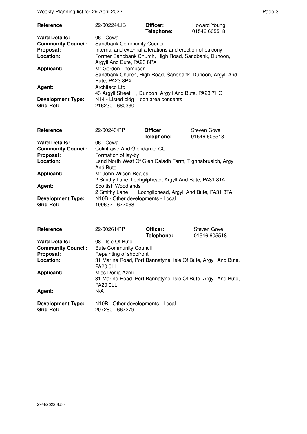Weekly Planning list for 29 April 2022 **Page 3** Page 3

| 22/00224/LIB                                         | Officer: | Howard Young<br>01546 605518                                                                                                                                                                                                                                                                                                  |
|------------------------------------------------------|----------|-------------------------------------------------------------------------------------------------------------------------------------------------------------------------------------------------------------------------------------------------------------------------------------------------------------------------------|
| 06 - Cowal                                           |          |                                                                                                                                                                                                                                                                                                                               |
|                                                      |          |                                                                                                                                                                                                                                                                                                                               |
|                                                      |          |                                                                                                                                                                                                                                                                                                                               |
| Former Sandbank Church, High Road, Sandbank, Dunoon, |          |                                                                                                                                                                                                                                                                                                                               |
|                                                      |          |                                                                                                                                                                                                                                                                                                                               |
|                                                      |          |                                                                                                                                                                                                                                                                                                                               |
| Bute, PA23 8PX                                       |          |                                                                                                                                                                                                                                                                                                                               |
| Architeco Ltd                                        |          |                                                                                                                                                                                                                                                                                                                               |
|                                                      |          |                                                                                                                                                                                                                                                                                                                               |
|                                                      |          |                                                                                                                                                                                                                                                                                                                               |
| 216230 - 680330                                      |          |                                                                                                                                                                                                                                                                                                                               |
|                                                      |          | Telephone:<br><b>Sandbank Community Council</b><br>Internal and external alterations and erection of balcony<br>Argyll And Bute, PA23 8PX<br>Mr Gordon Thompson<br>Sandbank Church, High Road, Sandbank, Dunoon, Argyll And<br>43 Argyll Street, Dunoon, Argyll And Bute, PA23 7HG<br>$N14$ - Listed bldg + con area consents |

| Reference:                                   | 22/00243/PP                                                                     | Officer:<br>Telephone: | <b>Steven Gove</b><br>01546 605518 |
|----------------------------------------------|---------------------------------------------------------------------------------|------------------------|------------------------------------|
| <b>Ward Details:</b>                         | 06 - Cowal                                                                      |                        |                                    |
| <b>Community Council:</b>                    | Colintraive And Glendaruel CC                                                   |                        |                                    |
| Proposal:                                    | Formation of lay-by                                                             |                        |                                    |
| Location:                                    | Land North West Of Glen Caladh Farm, Tighnabruaich, Argyll<br>And Bute          |                        |                                    |
| <b>Applicant:</b>                            | Mr John Wilson-Beales<br>2 Smithy Lane, Lochgilphead, Argyll And Bute, PA31 8TA |                        |                                    |
| Agent:                                       | Scottish Woodlands<br>2 Smithy Lane , Lochgilphead, Argyll And Bute, PA31 8TA   |                        |                                    |
| <b>Development Type:</b><br><b>Grid Ref:</b> | N10B - Other developments - Local<br>199632 - 677068                            |                        |                                    |

| Reference:                                                     | 22/00261/PP                                                                                          | Officer:<br>Telephone: | Steven Gove<br>01546 605518 |
|----------------------------------------------------------------|------------------------------------------------------------------------------------------------------|------------------------|-----------------------------|
| <b>Ward Details:</b><br><b>Community Council:</b><br>Proposal: | 08 - Isle Of Bute<br><b>Bute Community Council</b><br>Repainting of shopfront                        |                        |                             |
| Location:                                                      | 31 Marine Road, Port Bannatyne, Isle Of Bute, Argyll And Bute,<br><b>PA20 0LL</b>                    |                        |                             |
| <b>Applicant:</b>                                              | Miss Donia Azmi<br>31 Marine Road, Port Bannatyne, Isle Of Bute, Argyll And Bute,<br><b>PA20 0LL</b> |                        |                             |
| Agent:                                                         | N/A                                                                                                  |                        |                             |
| <b>Development Type:</b><br><b>Grid Ref:</b>                   | N10B - Other developments - Local<br>207280 - 667279                                                 |                        |                             |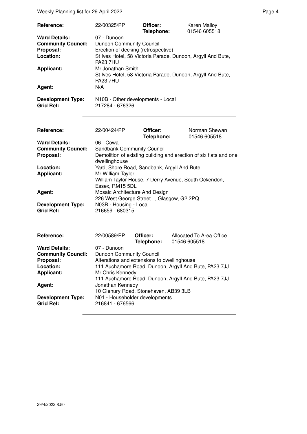Weekly Planning list for 29 April 2022 **Page 4** Page 4

| Reference:                                   | 22/00325/PP                                                                                         | Officer:<br>Telephone: | <b>Karen Malloy</b><br>01546 605518 |
|----------------------------------------------|-----------------------------------------------------------------------------------------------------|------------------------|-------------------------------------|
| <b>Ward Details:</b>                         | 07 - Dunoon                                                                                         |                        |                                     |
| <b>Community Council:</b>                    | Dunoon Community Council                                                                            |                        |                                     |
| Proposal:                                    | Erection of decking (retrospective)                                                                 |                        |                                     |
| Location:                                    | St Ives Hotel, 58 Victoria Parade, Dunoon, Argyll And Bute,<br><b>PA23 7HU</b>                      |                        |                                     |
| <b>Applicant:</b>                            | Mr Jonathan Smith<br>St Ives Hotel, 58 Victoria Parade, Dunoon, Argyll And Bute,<br><b>PA23 7HU</b> |                        |                                     |
| Agent:                                       | N/A                                                                                                 |                        |                                     |
| <b>Development Type:</b><br><b>Grid Ref:</b> | N10B - Other developments - Local<br>217284 - 676326                                                |                        |                                     |

| <b>Reference:</b>         | 22/00424/PP                                                                                   | Officer:<br>Telephone: | Norman Shewan<br>01546 605518                                     |
|---------------------------|-----------------------------------------------------------------------------------------------|------------------------|-------------------------------------------------------------------|
| <b>Ward Details:</b>      | 06 - Cowal                                                                                    |                        |                                                                   |
| <b>Community Council:</b> | <b>Sandbank Community Council</b>                                                             |                        |                                                                   |
| Proposal:                 | dwellinghouse                                                                                 |                        | Demolition of existing building and erection of six flats and one |
| Location:                 | Yard, Shore Road, Sandbank, Argyll And Bute                                                   |                        |                                                                   |
| <b>Applicant:</b>         | Mr William Taylor<br>William Taylor House, 7 Derry Avenue, South Ockendon,<br>Essex, RM15 5DL |                        |                                                                   |
|                           |                                                                                               |                        |                                                                   |
| Agent:                    | Mosaic Architecture And Design                                                                |                        |                                                                   |
|                           | 226 West George Street, Glasgow, G2 2PQ                                                       |                        |                                                                   |
| <b>Development Type:</b>  | N03B - Housing - Local                                                                        |                        |                                                                   |
| Grid Ref:                 | 216659 - 680315                                                                               |                        |                                                                   |
|                           |                                                                                               |                        |                                                                   |

| Reference:                | 22/00589/PP                                           | Officer:   | Allocated To Area Office                              |  |
|---------------------------|-------------------------------------------------------|------------|-------------------------------------------------------|--|
|                           |                                                       | Telephone: | 01546 605518                                          |  |
| <b>Ward Details:</b>      | 07 - Dunoon                                           |            |                                                       |  |
| <b>Community Council:</b> | <b>Dunoon Community Council</b>                       |            |                                                       |  |
| Proposal:                 | Alterations and extensions to dwellinghouse           |            |                                                       |  |
| Location:                 | 111 Auchamore Road, Dunoon, Argyll And Bute, PA23 7JJ |            |                                                       |  |
| <b>Applicant:</b>         | Mr Chris Kennedy                                      |            |                                                       |  |
|                           |                                                       |            | 111 Auchamore Road, Dunoon, Argyll And Bute, PA23 7JJ |  |
| Agent:                    | Jonathan Kennedy                                      |            |                                                       |  |
|                           | 10 Glenury Road, Stonehaven, AB39 3LB                 |            |                                                       |  |
| <b>Development Type:</b>  | N01 - Householder developments                        |            |                                                       |  |
| <b>Grid Ref:</b>          | 216841 - 676566                                       |            |                                                       |  |
|                           |                                                       |            |                                                       |  |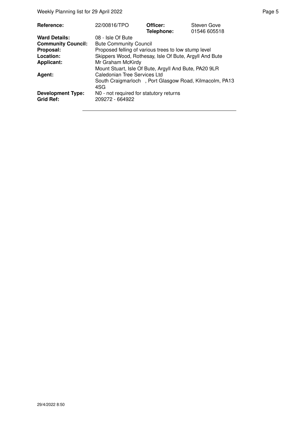| Reference:                                   | 22/00816/TPO                                                  | Officer:<br>Telephone: | Steven Gove<br>01546 605518 |
|----------------------------------------------|---------------------------------------------------------------|------------------------|-----------------------------|
| <b>Ward Details:</b>                         | 08 - Isle Of Bute                                             |                        |                             |
| <b>Community Council:</b>                    | <b>Bute Community Council</b>                                 |                        |                             |
| Proposal:                                    | Proposed felling of various trees to low stump level          |                        |                             |
| Location:                                    | Skippers Wood, Rothesay, Isle Of Bute, Argyll And Bute        |                        |                             |
| <b>Applicant:</b>                            | Mr Graham McKirdy                                             |                        |                             |
|                                              | Mount Stuart, Isle Of Bute, Argyll And Bute, PA20 9LR         |                        |                             |
| Agent:                                       | Caledonian Tree Services Ltd                                  |                        |                             |
|                                              | South Craigmarloch, Port Glasgow Road, Kilmacolm, PA13<br>4SG |                        |                             |
| <b>Development Type:</b><br><b>Grid Ref:</b> | NO - not required for statutory returns<br>209272 - 664922    |                        |                             |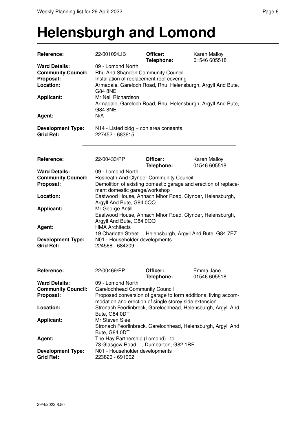### **Helensburgh and Lomond**

| Reference:                                                                  | 22/00109/LIB                                                                                                                                                                         | Officer:<br>Telephone: | Karen Malloy<br>01546 605518                                    |  |
|-----------------------------------------------------------------------------|--------------------------------------------------------------------------------------------------------------------------------------------------------------------------------------|------------------------|-----------------------------------------------------------------|--|
| <b>Ward Details:</b><br><b>Community Council:</b><br>Proposal:<br>Location: | 09 - Lomond North<br>Rhu And Shandon Community Council<br>Installation of replacement roof covering<br>Armadale, Gareloch Road, Rhu, Helensburgh, Argyll And Bute,<br><b>G84 8NE</b> |                        |                                                                 |  |
| <b>Applicant:</b>                                                           | Mr Neil Richardson<br>Armadale, Gareloch Road, Rhu, Helensburgh, Argyll And Bute,<br><b>G84 8NE</b>                                                                                  |                        |                                                                 |  |
| Agent:                                                                      | N/A                                                                                                                                                                                  |                        |                                                                 |  |
| <b>Development Type:</b><br><b>Grid Ref:</b>                                | $N14$ - Listed bldg + con area consents<br>227452 - 683615                                                                                                                           |                        |                                                                 |  |
| Reference:                                                                  | 22/00433/PP                                                                                                                                                                          | Officer:               | <b>Karen Malloy</b>                                             |  |
|                                                                             |                                                                                                                                                                                      | Telephone:             | 01546 605518                                                    |  |
| <b>Ward Details:</b>                                                        | 09 - Lomond North                                                                                                                                                                    |                        |                                                                 |  |
| <b>Community Council:</b>                                                   | Rosneath And Clynder Community Council                                                                                                                                               |                        |                                                                 |  |
| Proposal:                                                                   | ment domestic garage/workshop                                                                                                                                                        |                        | Demolition of existing domestic garage and erection of replace- |  |
| Location:                                                                   | Eastwood House, Annach Mhor Road, Clynder, Helensburgh,<br>Argyll And Bute, G84 0QQ                                                                                                  |                        |                                                                 |  |
| <b>Applicant:</b>                                                           | Mr George Antill<br>Eastwood House, Annach Mhor Road, Clynder, Helensburgh,<br>Argyll And Bute, G84 0QQ                                                                              |                        |                                                                 |  |
| Agent:                                                                      | <b>HMA Architects</b><br>19 Charlotte Street, Helensburgh, Argyll And Bute, G84 7EZ                                                                                                  |                        |                                                                 |  |
| <b>Development Type:</b><br><b>Grid Ref:</b>                                | N01 - Householder developments<br>224568 - 684209                                                                                                                                    |                        |                                                                 |  |
| Reference:                                                                  | 22/00469/PP                                                                                                                                                                          | Officer:<br>Telephone: | Emma Jane<br>01546 605518                                       |  |
| <b>Ward Details:</b>                                                        | 09 - Lomond North                                                                                                                                                                    |                        |                                                                 |  |
| <b>Community Council:</b>                                                   | <b>Garelochhead Community Council</b>                                                                                                                                                |                        |                                                                 |  |
| Proposal:                                                                   | Proposed conversion of garage to form additional living accom-<br>modation and erection of single storey side extension                                                              |                        |                                                                 |  |
| Location:                                                                   | Bute, G84 0DT                                                                                                                                                                        |                        | Stronach Feorlinbreck, Garelochhead, Helensburgh, Argyll And    |  |
| <b>Applicant:</b>                                                           | Mr Steven Slee<br>Bute, G84 0DT                                                                                                                                                      |                        | Stronach Feorlinbreck, Garelochhead, Helensburgh, Argyll And    |  |
| Agent:                                                                      | The Hay Partnership (Lomond) Ltd<br>73 Glasgow Road, Dumbarton, G82 1RE                                                                                                              |                        |                                                                 |  |
| <b>Development Type:</b><br><b>Grid Ref:</b>                                | N01 - Householder developments<br>223820 - 691902                                                                                                                                    |                        |                                                                 |  |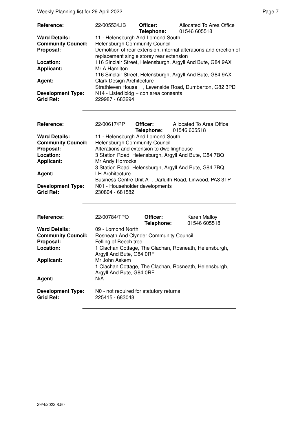| Reference:<br><b>Ward Details:</b><br><b>Community Council:</b><br>Proposal:<br>Location:<br><b>Applicant:</b><br>Agent:<br><b>Development Type:</b><br><b>Grid Ref:</b> | 22/00553/LIB<br><b>Helensburgh Community Council</b><br>Mr A Hamilton<br><b>Clark Design Architecture</b><br><b>Strathleven House</b><br>229987 - 683294 | Officer:<br>Telephone:<br>11 - Helensburgh And Lomond South<br>replacement single storey rear extension<br>N14 - Listed bldg + con area consents | Allocated To Area Office<br>01546 605518<br>Demolition of rear extension, internal alterations and erection of<br>116 Sinclair Street, Helensburgh, Argyll And Bute, G84 9AX<br>116 Sinclair Street, Helensburgh, Argyll And Bute, G84 9AX<br>, Levenside Road, Dumbarton, G82 3PD |
|--------------------------------------------------------------------------------------------------------------------------------------------------------------------------|----------------------------------------------------------------------------------------------------------------------------------------------------------|--------------------------------------------------------------------------------------------------------------------------------------------------|------------------------------------------------------------------------------------------------------------------------------------------------------------------------------------------------------------------------------------------------------------------------------------|
| Reference:<br><b>Ward Details:</b><br><b>Community Council:</b><br>Proposal:<br>Location:<br><b>Applicant:</b><br>Agent:<br><b>Development Type:</b><br><b>Grid Ref:</b> | 22/00617/PP<br><b>Helensburgh Community Council</b><br>Mr Andy Horrocks<br><b>LH Architecture</b><br>N01 - Householder developments<br>230804 - 681582   | Officer:<br>Telephone:<br>11 - Helensburgh And Lomond South<br>Alterations and extension to dwellinghouse                                        | Allocated To Area Office<br>01546 605518<br>3 Station Road, Helensburgh, Argyll And Bute, G84 7BQ<br>3 Station Road, Helensburgh, Argyll And Bute, G84 7BQ<br>Business Centre Unit A, Darluith Road, Linwood, PA3 3TP                                                              |
| Reference:<br><b>Ward Details:</b><br><b>Community Council:</b><br>Proposal:<br>Location:<br><b>Applicant:</b><br>Agent:                                                 | 22/00784/TPO<br>09 - Lomond North<br>Felling of Beech tree<br>Argyll And Bute, G84 0RF<br>Mr John Askem<br>Argyll And Bute, G84 0RF<br>N/A               | Officer:<br>Telephone:<br>Rosneath And Clynder Community Council                                                                                 | Karen Malloy<br>01546 605518<br>1 Clachan Cottage, The Clachan, Rosneath, Helensburgh,<br>1 Clachan Cottage, The Clachan, Rosneath, Helensburgh,                                                                                                                                   |
| <b>Development Type:</b><br><b>Grid Ref:</b>                                                                                                                             | 225415 - 683048                                                                                                                                          | N0 - not required for statutory returns                                                                                                          |                                                                                                                                                                                                                                                                                    |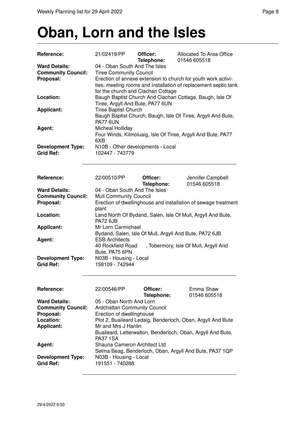# **Oban, Lorn and the Isles**

| Reference:                | 21/02419/PP                                                   | Officer:<br>Telephone: | Allocated To Area Office<br>01546 605518                        |  |  |
|---------------------------|---------------------------------------------------------------|------------------------|-----------------------------------------------------------------|--|--|
| <b>Ward Details:</b>      | 04 - Oban South And The Isles                                 |                        |                                                                 |  |  |
| <b>Community Council:</b> | <b>Tiree Community Council</b>                                |                        |                                                                 |  |  |
| Proposal:                 | Erection of annexe extension to church for youth work activi- |                        |                                                                 |  |  |
|                           |                                                               |                        | ties, meeting rooms and installation of replacement septic tank |  |  |
|                           | for the church and Clachan Cottage                            |                        |                                                                 |  |  |
| Location:                 | Baugh Baptist Church And Clachan Cottage, Baugh, Isle Of      |                        |                                                                 |  |  |
|                           | Tiree, Argyll And Bute, PA77 6UN                              |                        |                                                                 |  |  |
| <b>Applicant:</b>         | <b>Tiree Baptist Church</b>                                   |                        |                                                                 |  |  |
|                           |                                                               |                        | Baugh Baptist Church, Baugh, Isle Of Tiree, Argyll And Bute,    |  |  |
|                           | <b>PA77 6UN</b>                                               |                        |                                                                 |  |  |
| Agent:                    | Micheal Holliday                                              |                        |                                                                 |  |  |
|                           |                                                               |                        | Four Winds, Kilmoluaig, Isle Of Tiree, Argyll And Bute, PA77    |  |  |
|                           | 6XB                                                           |                        |                                                                 |  |  |
| <b>Development Type:</b>  | N10B - Other developments - Local                             |                        |                                                                 |  |  |
| <b>Grid Ref:</b>          | 102447 - 743779                                               |                        |                                                                 |  |  |
|                           |                                                               |                        |                                                                 |  |  |
|                           |                                                               |                        |                                                                 |  |  |
| Reference:                | 22/00510/PP                                                   | Officer:               | Jennifer Campbell                                               |  |  |
|                           |                                                               | Telephone:             | 01546 605518                                                    |  |  |
| <b>Ward Details:</b>      | 04 - Oban South And The Isles                                 |                        |                                                                 |  |  |
| <b>Community Council:</b> | <b>Mull Community Council</b>                                 |                        |                                                                 |  |  |
| Proposal:                 | plant                                                         |                        | Erection of dwellinghouse and installation of sewage treatment  |  |  |
| Location:                 | Land North Of Bydand, Salen, Isle Of Mull, Argyll And Bute,   |                        |                                                                 |  |  |
|                           | <b>PA72 6JB</b>                                               |                        |                                                                 |  |  |
| <b>Applicant:</b>         | Mr Lorn Carmichael                                            |                        |                                                                 |  |  |
|                           | Bydand, Salen, Isle Of Mull, Argyll And Bute, PA72 6JB        |                        |                                                                 |  |  |
| Agent:                    | <b>ESB Architects</b>                                         |                        |                                                                 |  |  |
|                           | 40 Rockfield Road                                             |                        | , Tobermory, Isle Of Mull, Argyll And                           |  |  |
|                           | Bute, PA75 6PN                                                |                        |                                                                 |  |  |
| <b>Development Type:</b>  | N03B - Housing - Local                                        |                        |                                                                 |  |  |
| <b>Grid Ref:</b>          | 158109 - 742944                                               |                        |                                                                 |  |  |
|                           |                                                               |                        |                                                                 |  |  |
|                           |                                                               |                        |                                                                 |  |  |
| Reference:                | 22/00546/PP                                                   | Officer:               | Emma Shaw                                                       |  |  |
|                           |                                                               | Telephone:             | 01546 605518                                                    |  |  |
| <b>Ward Details:</b>      | 05 - Oban North And Lorn                                      |                        |                                                                 |  |  |
| <b>Community Council:</b> | Ardchattan Community Council                                  |                        |                                                                 |  |  |
| Proposal:                 | Erection of dwellinghouse                                     |                        |                                                                 |  |  |
| Location:                 |                                                               |                        | Plot 2, Buaileard Ledaig, Benderloch, Oban, Argyll And Bute     |  |  |
| <b>Applicant:</b>         | Mr and Mrs J Hanlin                                           |                        |                                                                 |  |  |
|                           |                                                               |                        | Buaileard, Letterwalton, Benderloch, Oban, Argyll And Bute,     |  |  |
|                           | <b>PA37 1SA</b>                                               |                        |                                                                 |  |  |
| Agent:                    | Shauna Cameron Architect Ltd                                  |                        |                                                                 |  |  |
|                           |                                                               |                        | Selma Beag, Benderloch, Oban, Argyll And Bute, PA37 1QP         |  |  |
| <b>Development Type:</b>  | N03B - Housing - Local                                        |                        |                                                                 |  |  |
| <b>Grid Ref:</b>          | 191551 - 740288                                               |                        |                                                                 |  |  |
|                           |                                                               |                        |                                                                 |  |  |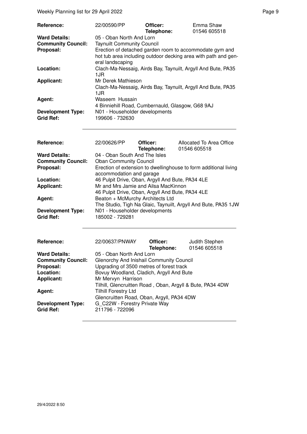| Reference:                                   | 22/00590/PP                                                                                                                                   | Officer:<br>Telephone: | Emma Shaw<br>01546 605518 |
|----------------------------------------------|-----------------------------------------------------------------------------------------------------------------------------------------------|------------------------|---------------------------|
| <b>Ward Details:</b>                         | 05 - Oban North And Lorn                                                                                                                      |                        |                           |
| <b>Community Council:</b>                    | <b>Taynuilt Community Council</b>                                                                                                             |                        |                           |
| Proposal:                                    | Erection of detached garden room to accommodate gym and<br>hot tub area including outdoor decking area with path and gen-<br>eral landscaping |                        |                           |
| Location:                                    | Clach-Ma-Nessaig, Airds Bay, Taynuilt, Argyll And Bute, PA35<br>1JR                                                                           |                        |                           |
| <b>Applicant:</b>                            | Mr Derek Mathieson<br>Clach-Ma-Nessaig, Airds Bay, Taynuilt, Argyll And Bute, PA35<br>1.JR                                                    |                        |                           |
| Agent:                                       | Waseem Hussain<br>4 Binniehill Road, Cumbernauld, Glasgow, G68 9AJ                                                                            |                        |                           |
| <b>Development Type:</b><br><b>Grid Ref:</b> | N01 - Householder developments<br>199606 - 732630                                                                                             |                        |                           |

| Reference:                | 22/00626/PP                                                                                  | Officer:   | Allocated To Area Office                                       |
|---------------------------|----------------------------------------------------------------------------------------------|------------|----------------------------------------------------------------|
|                           |                                                                                              | Telephone: | 01546 605518                                                   |
| <b>Ward Details:</b>      | 04 - Oban South And The Isles                                                                |            |                                                                |
| <b>Community Council:</b> | <b>Oban Community Council</b>                                                                |            |                                                                |
| Proposal:                 | Erection of extension to dwellinghouse to form additional living<br>accommodation and garage |            |                                                                |
|                           |                                                                                              |            |                                                                |
| Location:                 | 46 Pulpit Drive, Oban, Argyll And Bute, PA34 4LE                                             |            |                                                                |
| <b>Applicant:</b>         | Mr and Mrs Jamie and Ailsa MacKinnon                                                         |            |                                                                |
|                           | 46 Pulpit Drive, Oban, Argyll And Bute, PA34 4LE                                             |            |                                                                |
| Agent:                    | Beaton + McMurchy Architects Ltd                                                             |            |                                                                |
|                           |                                                                                              |            | The Studio, Tigh Na Glaic, Taynuilt, Argyll And Bute, PA35 1JW |
| <b>Development Type:</b>  | N01 - Householder developments                                                               |            |                                                                |
| <b>Grid Ref:</b>          | 185002 - 729281                                                                              |            |                                                                |

| Reference:                | 22/00637/PNWAY                                            | Officer:<br>Telephone: | Judith Stephen<br>01546 605518 |
|---------------------------|-----------------------------------------------------------|------------------------|--------------------------------|
| <b>Ward Details:</b>      | 05 - Oban North And Lorn                                  |                        |                                |
| <b>Community Council:</b> | Glenorchy And Inishail Community Council                  |                        |                                |
| Proposal:                 | Upgrading of 3500 metres of forest track                  |                        |                                |
| Location:                 | Bovuy Woodland, Cladich, Argyll And Bute                  |                        |                                |
| <b>Applicant:</b>         | Mr Mervyn Harrison                                        |                        |                                |
|                           | Tilhill, Glencruitten Road, Oban, Argyll & Bute, PA34 4DW |                        |                                |
| Agent:                    | <b>Tilhill Forestry Ltd</b>                               |                        |                                |
|                           | Glencruitten Road, Oban, Argyll, PA34 4DW                 |                        |                                |
| <b>Development Type:</b>  | G C22W - Forestry Private Way                             |                        |                                |
| <b>Grid Ref:</b>          | 211796 - 722096                                           |                        |                                |
|                           |                                                           |                        |                                |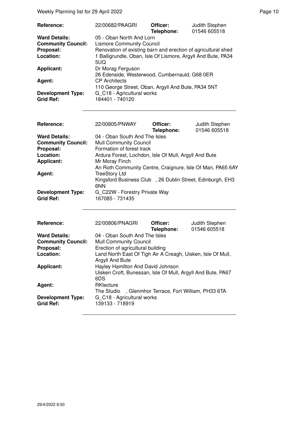Weekly Planning list for 29 April 2022 **Page 10** Page 10

| Reference:                | 22/00682/PAAGRI                                               | Officer:<br>Telephone: | Judith Stephen<br>01546 605518 |
|---------------------------|---------------------------------------------------------------|------------------------|--------------------------------|
| <b>Ward Details:</b>      | 05 - Oban North And Lorn                                      |                        |                                |
| <b>Community Council:</b> | <b>Lismore Community Council</b>                              |                        |                                |
| Proposal:                 | Renovation of existing barn and erection of agricultural shed |                        |                                |
| Location:                 | 1 Balligrundle, Oban, Isle Of Lismore, Argyll And Bute, PA34  |                        |                                |
|                           | 5UQ                                                           |                        |                                |
| <b>Applicant:</b>         | Dr Morag Ferguson                                             |                        |                                |
|                           | 26 Edenside, Westerwood, Cumbernauld, G68 0ER                 |                        |                                |
| Agent:                    | <b>CP</b> Architects                                          |                        |                                |
|                           | 110 George Street, Oban, Argyll And Bute, PA34 5NT            |                        |                                |
| <b>Development Type:</b>  | G_C18 - Agricultural works                                    |                        |                                |
| <b>Grid Ref:</b>          | 184401 - 740120                                               |                        |                                |

| Reference:                                   | 22/00805/PNWAY                                                   | Officer:<br>Telephone: | Judith Stephen<br>01546 605518 |
|----------------------------------------------|------------------------------------------------------------------|------------------------|--------------------------------|
| <b>Ward Details:</b>                         | 04 - Oban South And The Isles                                    |                        |                                |
| <b>Community Council:</b>                    | <b>Mull Community Council</b>                                    |                        |                                |
| Proposal:                                    | Formation of forest track                                        |                        |                                |
| Location:                                    | Ardura Forest, Lochdon, Isle Of Mull, Argyll And Bute            |                        |                                |
| <b>Applicant:</b>                            | Mr Moray Finch                                                   |                        |                                |
|                                              | An Roth Community Centre, Craignure, Isle Of Man, PA65 6AY       |                        |                                |
| Agent:                                       | <b>TreeStory Ltd</b>                                             |                        |                                |
|                                              | Kingsford Business Club, 26 Dublin Street, Edinburgh, EH3<br>6NN |                        |                                |
| <b>Development Type:</b><br><b>Grid Ref:</b> | G C22W - Forestry Private Way<br>167085 - 731435                 |                        |                                |

| <b>Reference:</b>         | 22/00806/PNAGRI                                             | Officer:   | Judith Stephen |
|---------------------------|-------------------------------------------------------------|------------|----------------|
|                           |                                                             | Telephone: | 01546 605518   |
| <b>Ward Details:</b>      | 04 - Oban South And The Isles                               |            |                |
| <b>Community Council:</b> | <b>Mull Community Council</b>                               |            |                |
| Proposal:                 | Erection of agricultural building                           |            |                |
| Location:                 | Land North East Of Tigh Air A Creagh, Uisken, Isle Of Mull, |            |                |
|                           | Argyll And Bute                                             |            |                |
| <b>Applicant:</b>         | Hayley Hamilton And David Johnson                           |            |                |
|                           | Uisken Croft, Bunessan, Isle Of Mull, Argyll And Bute, PA67 |            |                |
|                           | 6DS                                                         |            |                |
| Agent:                    | RKtecture                                                   |            |                |
|                           | The Studio , Glenmhor Terrace, Fort William, PH33 6TA       |            |                |
| <b>Development Type:</b>  | G_C18 - Agricultural works                                  |            |                |
| <b>Grid Ref:</b>          | 139133 - 718919                                             |            |                |
|                           |                                                             |            |                |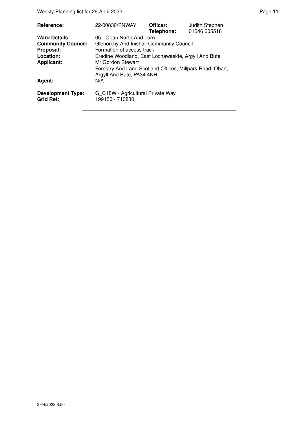| Reference:                            | 22/00830/PNWAY                                                                        | Officer:<br>Telephone: | Judith Stephen<br>01546 605518 |
|---------------------------------------|---------------------------------------------------------------------------------------|------------------------|--------------------------------|
| <b>Ward Details:</b>                  | 05 - Oban North And Lorn                                                              |                        |                                |
| <b>Community Council:</b>             | Glenorchy And Inishail Community Council                                              |                        |                                |
| Proposal:                             | Formation of access track                                                             |                        |                                |
| Location:                             | Eredine Woodland, East Lochaweside, Argyll And Bute                                   |                        |                                |
| <b>Applicant:</b>                     | Mr Gordon Stewart                                                                     |                        |                                |
|                                       | Forestry And Land Scotland Offices, Millpark Road, Oban,<br>Argyll And Bute, PA34 4NH |                        |                                |
| Agent:                                | N/A                                                                                   |                        |                                |
| <b>Development Type:</b><br>Grid Ref: | G_C18W - Agricultural Private Way<br>199150 - 710830                                  |                        |                                |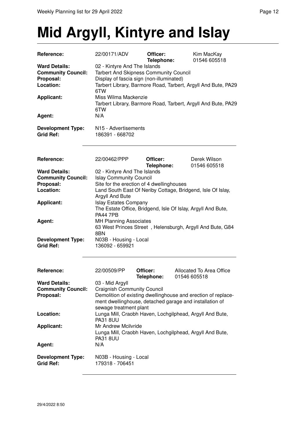## **Mid Argyll, Kintyre and Islay**

| Reference:                | 22/00171/ADV                                                                                                                                               | Officer:<br>Telephone: | Kim MacKay<br>01546 605518                                    |
|---------------------------|------------------------------------------------------------------------------------------------------------------------------------------------------------|------------------------|---------------------------------------------------------------|
| <b>Ward Details:</b>      | 02 - Kintyre And The Islands                                                                                                                               |                        |                                                               |
| <b>Community Council:</b> | <b>Tarbert And Skipness Community Council</b><br>Display of fascia sign (non-illuminated)<br>Tarbert Library, Barmore Road, Tarbert, Argyll And Bute, PA29 |                        |                                                               |
| Proposal:<br>Location:    |                                                                                                                                                            |                        |                                                               |
|                           | 6TW                                                                                                                                                        |                        |                                                               |
| <b>Applicant:</b>         | Miss Wilma Mackenzie                                                                                                                                       |                        |                                                               |
|                           |                                                                                                                                                            |                        | Tarbert Library, Barmore Road, Tarbert, Argyll And Bute, PA29 |
| Agent:                    | 6TW<br>N/A                                                                                                                                                 |                        |                                                               |
|                           |                                                                                                                                                            |                        |                                                               |
| <b>Development Type:</b>  | N <sub>15</sub> - Advertisements                                                                                                                           |                        |                                                               |
| <b>Grid Ref:</b>          | 186391 - 668702                                                                                                                                            |                        |                                                               |
|                           |                                                                                                                                                            |                        |                                                               |
| Reference:                | 22/00462/PPP                                                                                                                                               | Officer:               | Derek Wilson                                                  |
|                           |                                                                                                                                                            | Telephone:             | 01546 605518                                                  |
| <b>Ward Details:</b>      | 02 - Kintyre And The Islands                                                                                                                               |                        |                                                               |
| <b>Community Council:</b> | <b>Islay Community Council</b>                                                                                                                             |                        |                                                               |
| Proposal:<br>Location:    | Site for the erection of 4 dwellinghouses                                                                                                                  |                        | Land South East Of Neriby Cottage, Bridgend, Isle Of Islay,   |
|                           | Argyll And Bute                                                                                                                                            |                        |                                                               |
| <b>Applicant:</b>         | <b>Islay Estates Company</b>                                                                                                                               |                        |                                                               |
|                           | The Estate Office, Bridgend, Isle Of Islay, Argyll And Bute,                                                                                               |                        |                                                               |
|                           | <b>PA44 7PB</b>                                                                                                                                            |                        |                                                               |
| Agent:                    | <b>MH Planning Associates</b>                                                                                                                              |                        |                                                               |
|                           | 8BN                                                                                                                                                        |                        | 63 West Princes Street, Helensburgh, Argyll And Bute, G84     |
| <b>Development Type:</b>  | N03B - Housing - Local                                                                                                                                     |                        |                                                               |
| <b>Grid Ref:</b>          | 136092 - 659921                                                                                                                                            |                        |                                                               |
|                           |                                                                                                                                                            |                        |                                                               |
|                           |                                                                                                                                                            |                        |                                                               |
| Reference:                | 22/00509/PP                                                                                                                                                | Officer:<br>Telephone: | Allocated To Area Office<br>01546 605518                      |
| <b>Ward Details:</b>      | 03 - Mid Argyll                                                                                                                                            |                        |                                                               |
| <b>Community Council:</b> | <b>Craignish Community Council</b>                                                                                                                         |                        |                                                               |
| Proposal:                 |                                                                                                                                                            |                        | Demolition of existing dwellinghouse and erection of replace- |
|                           |                                                                                                                                                            |                        | ment dwellinghouse, detached garage and installation of       |
| Location:                 | sewage treatment plant                                                                                                                                     |                        | Lunga Mill, Craobh Haven, Lochgilphead, Argyll And Bute,      |
|                           | <b>PA31 8UU</b>                                                                                                                                            |                        |                                                               |
| <b>Applicant:</b>         | Mr Andrew Mcilvride                                                                                                                                        |                        |                                                               |
|                           |                                                                                                                                                            |                        | Lunga Mill, Craobh Haven, Lochgilphead, Argyll And Bute,      |
|                           | <b>PA31 8UU</b>                                                                                                                                            |                        |                                                               |
| Agent:                    | N/A                                                                                                                                                        |                        |                                                               |
| <b>Development Type:</b>  | N03B - Housing - Local                                                                                                                                     |                        |                                                               |
| <b>Grid Ref:</b>          | 179318 - 706451                                                                                                                                            |                        |                                                               |
|                           |                                                                                                                                                            |                        |                                                               |